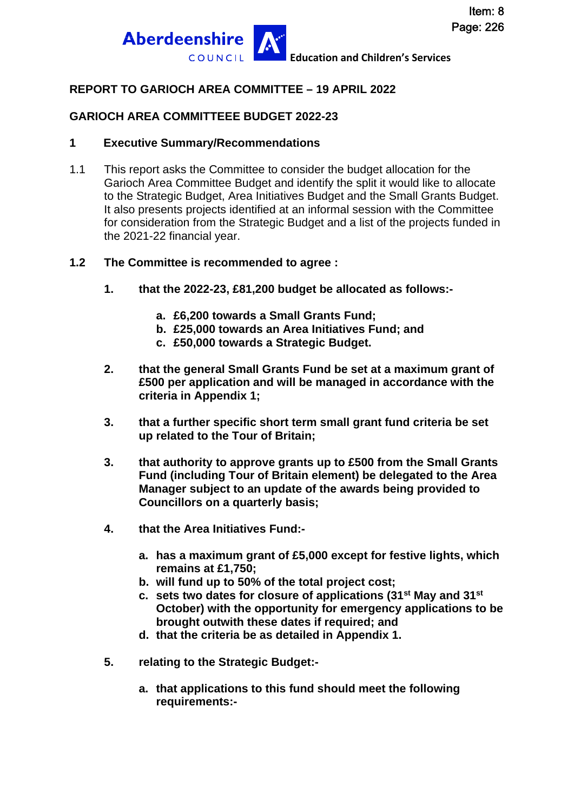

## **REPORT TO GARIOCH AREA COMMITTEE – 19 APRIL 2022**

## **GARIOCH AREA COMMITTEEE BUDGET 2022-23**

#### **1 Executive Summary/Recommendations**

- 1.1 This report asks the Committee to consider the budget allocation for the Garioch Area Committee Budget and identify the split it would like to allocate to the Strategic Budget, Area Initiatives Budget and the Small Grants Budget. It also presents projects identified at an informal session with the Committee for consideration from the Strategic Budget and a list of the projects funded in the 2021-22 financial year.
- **1.2 The Committee is recommended to agree :**
	- **1. that the 2022-23, £81,200 budget be allocated as follows:** 
		- **a. £6,200 towards a Small Grants Fund;**
		- **b. £25,000 towards an Area Initiatives Fund; and**
		- **c. £50,000 towards a Strategic Budget.**
	- **2. that the general Small Grants Fund be set at a maximum grant of £500 per application and will be managed in accordance with the criteria in Appendix 1;**
	- **3. that a further specific short term small grant fund criteria be set up related to the Tour of Britain;**
	- **3. that authority to approve grants up to £500 from the Small Grants Fund (including Tour of Britain element) be delegated to the Area Manager subject to an update of the awards being provided to Councillors on a quarterly basis;**
	- **4. that the Area Initiatives Fund:** 
		- **a. has a maximum grant of £5,000 except for festive lights, which remains at £1,750;**
		- **b. will fund up to 50% of the total project cost;**
		- **c. sets two dates for closure of applications (31st May and 31st October) with the opportunity for emergency applications to be brought outwith these dates if required; and**
		- **d. that the criteria be as detailed in Appendix 1.**
	- **5. relating to the Strategic Budget:** 
		- **a. that applications to this fund should meet the following requirements:-**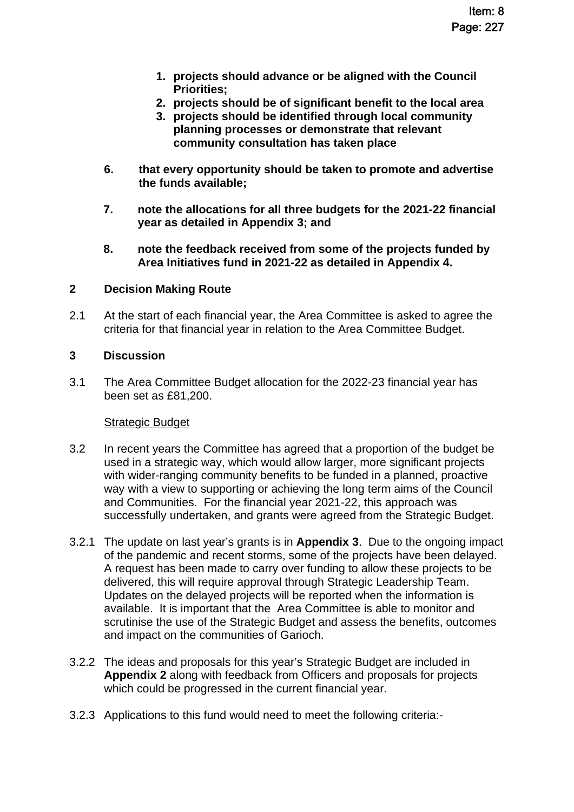- **1. projects should advance or be aligned with the Council Priorities;**
- **2. projects should be of significant benefit to the local area**
- **3. projects should be identified through local community planning processes or demonstrate that relevant community consultation has taken place**
- **6. that every opportunity should be taken to promote and advertise the funds available;**
- **7. note the allocations for all three budgets for the 2021-22 financial year as detailed in Appendix 3; and**
- **8. note the feedback received from some of the projects funded by Area Initiatives fund in 2021-22 as detailed in Appendix 4.**

## **2 Decision Making Route**

2.1 At the start of each financial year, the Area Committee is asked to agree the criteria for that financial year in relation to the Area Committee Budget.

### **3 Discussion**

3.1 The Area Committee Budget allocation for the 2022-23 financial year has been set as £81,200.

#### Strategic Budget

- 3.2 In recent years the Committee has agreed that a proportion of the budget be used in a strategic way, which would allow larger, more significant projects with wider-ranging community benefits to be funded in a planned, proactive way with a view to supporting or achieving the long term aims of the Council and Communities. For the financial year 2021-22, this approach was successfully undertaken, and grants were agreed from the Strategic Budget.
- 3.2.1 The update on last year's grants is in **Appendix 3**. Due to the ongoing impact of the pandemic and recent storms, some of the projects have been delayed. A request has been made to carry over funding to allow these projects to be delivered, this will require approval through Strategic Leadership Team. Updates on the delayed projects will be reported when the information is available. It is important that the Area Committee is able to monitor and scrutinise the use of the Strategic Budget and assess the benefits, outcomes and impact on the communities of Garioch.
- 3.2.2 The ideas and proposals for this year's Strategic Budget are included in **Appendix 2** along with feedback from Officers and proposals for projects which could be progressed in the current financial year.
- 3.2.3 Applications to this fund would need to meet the following criteria:-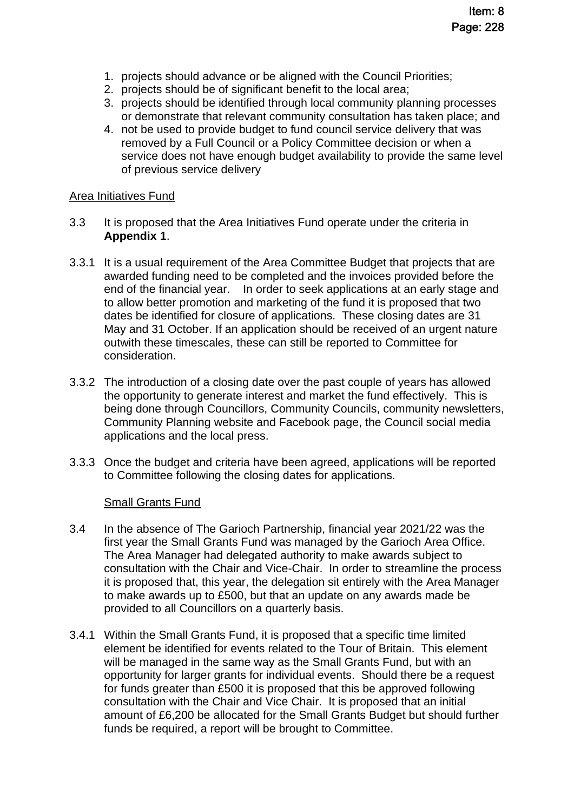- 1. projects should advance or be aligned with the Council Priorities;
- 2. projects should be of significant benefit to the local area;
- 3. projects should be identified through local community planning processes or demonstrate that relevant community consultation has taken place; and
- 4. not be used to provide budget to fund council service delivery that was removed by a Full Council or a Policy Committee decision or when a service does not have enough budget availability to provide the same level of previous service delivery

#### Area Initiatives Fund

- 3.3 It is proposed that the Area Initiatives Fund operate under the criteria in **Appendix 1**.
- 3.3.1 It is a usual requirement of the Area Committee Budget that projects that are awarded funding need to be completed and the invoices provided before the end of the financial year. In order to seek applications at an early stage and to allow better promotion and marketing of the fund it is proposed that two dates be identified for closure of applications. These closing dates are 31 May and 31 October. If an application should be received of an urgent nature outwith these timescales, these can still be reported to Committee for consideration.
- 3.3.2 The introduction of a closing date over the past couple of years has allowed the opportunity to generate interest and market the fund effectively. This is being done through Councillors, Community Councils, community newsletters, Community Planning website and Facebook page, the Council social media applications and the local press.
- 3.3.3 Once the budget and criteria have been agreed, applications will be reported to Committee following the closing dates for applications.

#### Small Grants Fund

- 3.4 In the absence of The Garioch Partnership, financial year 2021/22 was the first year the Small Grants Fund was managed by the Garioch Area Office. The Area Manager had delegated authority to make awards subject to consultation with the Chair and Vice-Chair. In order to streamline the process it is proposed that, this year, the delegation sit entirely with the Area Manager to make awards up to £500, but that an update on any awards made be provided to all Councillors on a quarterly basis.
- 3.4.1 Within the Small Grants Fund, it is proposed that a specific time limited element be identified for events related to the Tour of Britain. This element will be managed in the same way as the Small Grants Fund, but with an opportunity for larger grants for individual events. Should there be a request for funds greater than £500 it is proposed that this be approved following consultation with the Chair and Vice Chair. It is proposed that an initial amount of £6,200 be allocated for the Small Grants Budget but should further funds be required, a report will be brought to Committee.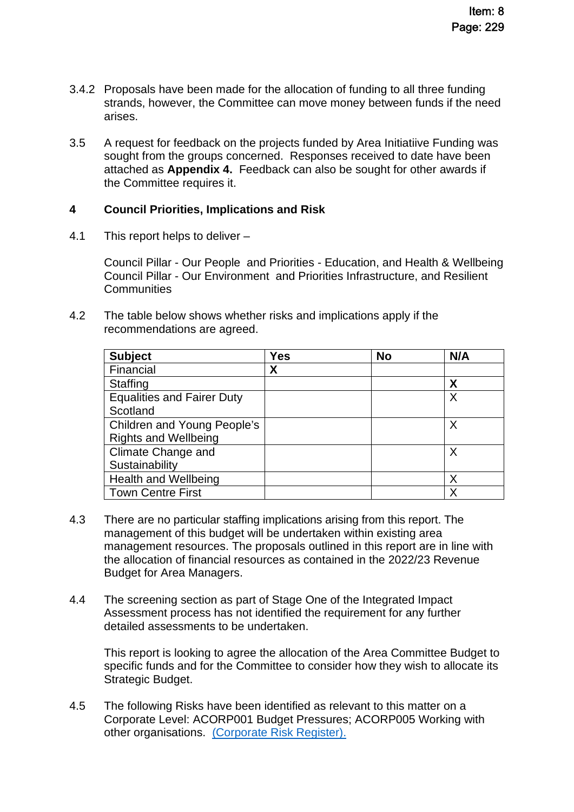- 3.4.2 Proposals have been made for the allocation of funding to all three funding strands, however, the Committee can move money between funds if the need arises.
- 3.5 A request for feedback on the projects funded by Area Initiatiive Funding was sought from the groups concerned. Responses received to date have been attached as **Appendix 4.** Feedback can also be sought for other awards if the Committee requires it.

### **4 Council Priorities, Implications and Risk**

4.1 This report helps to deliver –

Council Pillar - Our People and Priorities - Education, and Health & Wellbeing Council Pillar - Our Environment and Priorities Infrastructure, and Resilient **Communities** 

4.2 The table below shows whether risks and implications apply if the recommendations are agreed.

| <b>Subject</b>                     | Yes | <b>No</b> | N/A |
|------------------------------------|-----|-----------|-----|
| Financial                          | χ   |           |     |
| <b>Staffing</b>                    |     |           | χ   |
| <b>Equalities and Fairer Duty</b>  |     |           | Χ   |
| Scotland                           |     |           |     |
| <b>Children and Young People's</b> |     |           |     |
| <b>Rights and Wellbeing</b>        |     |           |     |
| Climate Change and                 |     |           | Χ   |
| Sustainability                     |     |           |     |
| <b>Health and Wellbeing</b>        |     |           |     |
| <b>Town Centre First</b>           |     |           |     |

- 4.3 There are no particular staffing implications arising from this report. The management of this budget will be undertaken within existing area management resources. The proposals outlined in this report are in line with the allocation of financial resources as contained in the 2022/23 Revenue Budget for Area Managers.
- 4.4 The screening section as part of Stage One of the Integrated Impact Assessment process has not identified the requirement for any further detailed assessments to be undertaken.

This report is looking to agree the allocation of the Area Committee Budget to specific funds and for the Committee to consider how they wish to allocate its Strategic Budget.

4.5 The following Risks have been identified as relevant to this matter on a Corporate Level: ACORP001 Budget Pressures; ACORP005 Working with other organisations. [\(Corporate Risk Register\).](http://www.aberdeenshire.gov.uk/council-and-democracy/about-us/plans-and-reports/)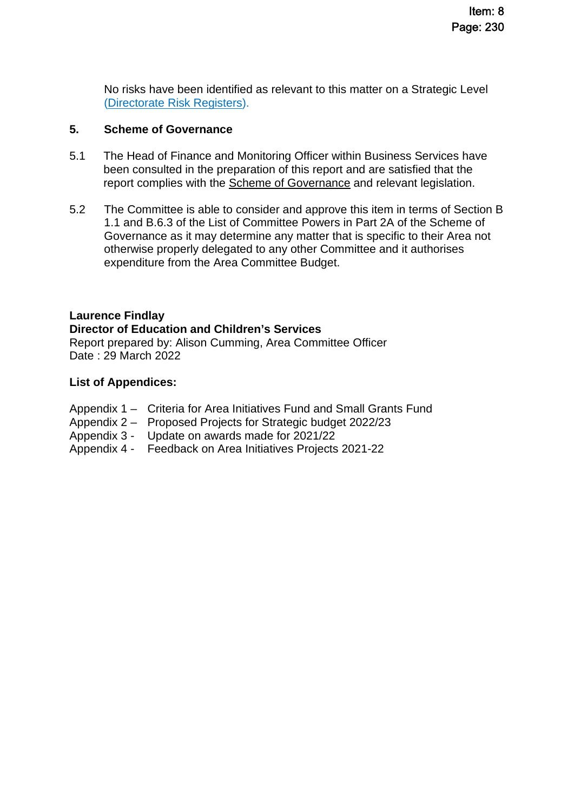No risks have been identified as relevant to this matter on a Strategic Level [\(Directorate Risk Registers\)](http://www.aberdeenshire.gov.uk/council-and-democracy/about-us/plans-and-reports/).

### **5. Scheme of Governance**

- 5.1 The Head of Finance and Monitoring Officer within Business Services have been consulted in the preparation of this report and are satisfied that the report complies with the [Scheme of Governance](https://www.aberdeenshire.gov.uk/council-and-democracy/scheme-of-governance/) and relevant legislation.
- 5.2 The Committee is able to consider and approve this item in terms of Section B 1.1 and B.6.3 of the List of Committee Powers in Part 2A of the Scheme of Governance as it may determine any matter that is specific to their Area not otherwise properly delegated to any other Committee and it authorises expenditure from the Area Committee Budget.

## **Laurence Findlay**

**Director of Education and Children's Services** 

Report prepared by: Alison Cumming, Area Committee Officer Date : 29 March 2022

#### **List of Appendices:**

- Appendix 1 Criteria for Area Initiatives Fund and Small Grants Fund
- Appendix 2 Proposed Projects for Strategic budget 2022/23
- Appendix 3 Update on awards made for 2021/22
- Appendix 4 Feedback on Area Initiatives Projects 2021-22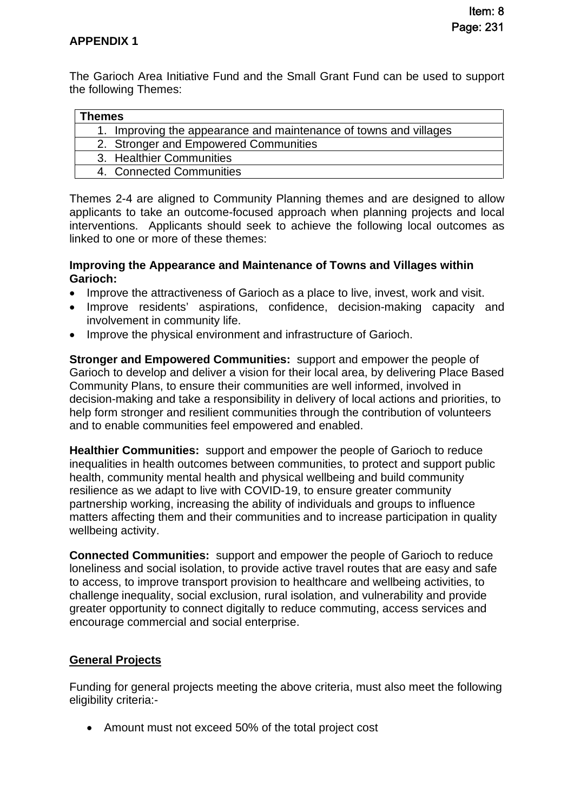The Garioch Area Initiative Fund and the Small Grant Fund can be used to support the following Themes:

| ⊺hemes |                                                                   |
|--------|-------------------------------------------------------------------|
|        | 1. Improving the appearance and maintenance of towns and villages |
|        | 2. Stronger and Empowered Communities                             |
|        | 3. Healthier Communities                                          |
|        | 4. Connected Communities                                          |

Themes 2-4 are aligned to Community Planning themes and are designed to allow applicants to take an outcome-focused approach when planning projects and local interventions. Applicants should seek to achieve the following local outcomes as linked to one or more of these themes:

#### **Improving the Appearance and Maintenance of Towns and Villages within Garioch:**

- Improve the attractiveness of Garioch as a place to live, invest, work and visit.
- Improve residents' aspirations, confidence, decision-making capacity and involvement in community life.
- Improve the physical environment and infrastructure of Garioch.

**Stronger and Empowered Communities:** support and empower the people of Garioch to develop and deliver a vision for their local area, by delivering Place Based Community Plans, to ensure their communities are well informed, involved in decision-making and take a responsibility in delivery of local actions and priorities, to help form stronger and resilient communities through the contribution of volunteers and to enable communities feel empowered and enabled.

**Healthier Communities:** support and empower the people of Garioch to reduce inequalities in health outcomes between communities, to protect and support public health, community mental health and physical wellbeing and build community resilience as we adapt to live with COVID-19, to ensure greater community partnership working, increasing the ability of individuals and groups to influence matters affecting them and their communities and to increase participation in quality wellbeing activity.

**Connected Communities:** support and empower the people of Garioch to reduce loneliness and social isolation, to provide active travel routes that are easy and safe to access, to improve transport provision to healthcare and wellbeing activities, to challenge inequality, social exclusion, rural isolation, and vulnerability and provide greater opportunity to connect digitally to reduce commuting, access services and encourage commercial and social enterprise.

## **General Projects**

Funding for general projects meeting the above criteria, must also meet the following eligibility criteria:-

Amount must not exceed 50% of the total project cost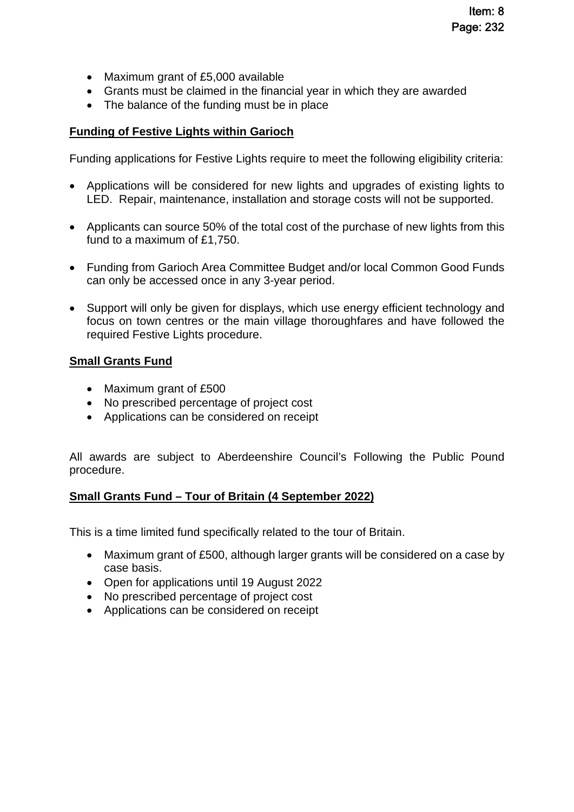- Maximum grant of £5,000 available
- Grants must be claimed in the financial year in which they are awarded
- The balance of the funding must be in place

## **Funding of Festive Lights within Garioch**

Funding applications for Festive Lights require to meet the following eligibility criteria:

- Applications will be considered for new lights and upgrades of existing lights to LED. Repair, maintenance, installation and storage costs will not be supported.
- Applicants can source 50% of the total cost of the purchase of new lights from this fund to a maximum of £1,750.
- Funding from Garioch Area Committee Budget and/or local Common Good Funds can only be accessed once in any 3-year period.
- Support will only be given for displays, which use energy efficient technology and focus on town centres or the main village thoroughfares and have followed the required Festive Lights procedure.

#### **Small Grants Fund**

- Maximum grant of £500
- No prescribed percentage of project cost
- Applications can be considered on receipt

All awards are subject to Aberdeenshire Council's Following the Public Pound procedure.

## **Small Grants Fund – Tour of Britain (4 September 2022)**

This is a time limited fund specifically related to the tour of Britain.

- Maximum grant of £500, although larger grants will be considered on a case by case basis.
- Open for applications until 19 August 2022
- No prescribed percentage of project cost
- Applications can be considered on receipt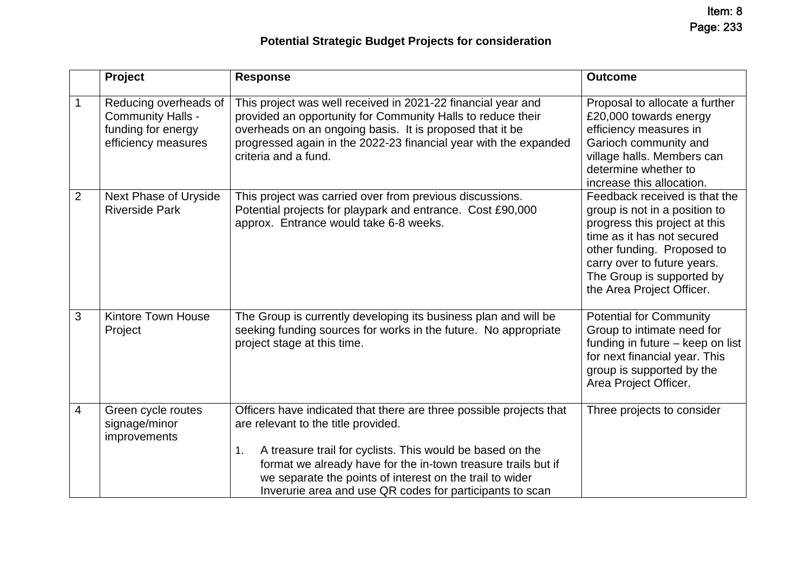|                | Project                                                                                        | <b>Response</b>                                                                                                                                                                                                                                                                                                                                                        | <b>Outcome</b>                                                                                                                                                                                                                                       |
|----------------|------------------------------------------------------------------------------------------------|------------------------------------------------------------------------------------------------------------------------------------------------------------------------------------------------------------------------------------------------------------------------------------------------------------------------------------------------------------------------|------------------------------------------------------------------------------------------------------------------------------------------------------------------------------------------------------------------------------------------------------|
| 1              | Reducing overheads of<br><b>Community Halls -</b><br>funding for energy<br>efficiency measures | This project was well received in 2021-22 financial year and<br>provided an opportunity for Community Halls to reduce their<br>overheads on an ongoing basis. It is proposed that it be<br>progressed again in the 2022-23 financial year with the expanded<br>criteria and a fund.                                                                                    | Proposal to allocate a further<br>£20,000 towards energy<br>efficiency measures in<br>Garioch community and<br>village halls. Members can<br>determine whether to<br>increase this allocation.                                                       |
| $\overline{2}$ | Next Phase of Uryside<br><b>Riverside Park</b>                                                 | This project was carried over from previous discussions.<br>Potential projects for playpark and entrance. Cost £90,000<br>approx. Entrance would take 6-8 weeks.                                                                                                                                                                                                       | Feedback received is that the<br>group is not in a position to<br>progress this project at this<br>time as it has not secured<br>other funding. Proposed to<br>carry over to future years.<br>The Group is supported by<br>the Area Project Officer. |
| 3              | <b>Kintore Town House</b><br>Project                                                           | The Group is currently developing its business plan and will be<br>seeking funding sources for works in the future. No appropriate<br>project stage at this time.                                                                                                                                                                                                      | <b>Potential for Community</b><br>Group to intimate need for<br>funding in future – keep on list<br>for next financial year. This<br>group is supported by the<br>Area Project Officer.                                                              |
| 4              | Green cycle routes<br>signage/minor<br>improvements                                            | Officers have indicated that there are three possible projects that<br>are relevant to the title provided.<br>A treasure trail for cyclists. This would be based on the<br>1.<br>format we already have for the in-town treasure trails but if<br>we separate the points of interest on the trail to wider<br>Inverurie area and use QR codes for participants to scan | Three projects to consider                                                                                                                                                                                                                           |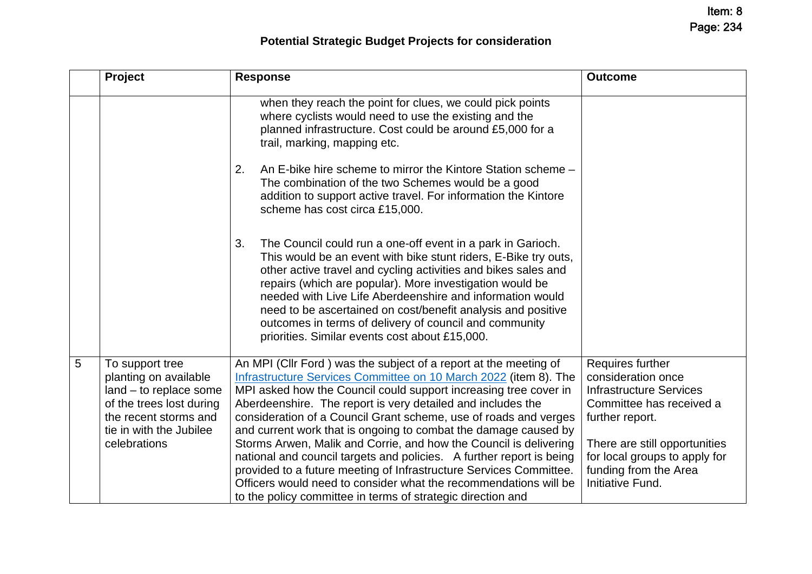Item: 8 Page: 234

# **Potential Strategic Budget Projects for consideration**

|   | Project                                                                                                                                                            | <b>Response</b>                                                                                                                                                                                                                                                                                                                                                                                                                                                                                                                                                                                                                                                                                                                                                      | <b>Outcome</b>                                                                                                                                                                                                                         |
|---|--------------------------------------------------------------------------------------------------------------------------------------------------------------------|----------------------------------------------------------------------------------------------------------------------------------------------------------------------------------------------------------------------------------------------------------------------------------------------------------------------------------------------------------------------------------------------------------------------------------------------------------------------------------------------------------------------------------------------------------------------------------------------------------------------------------------------------------------------------------------------------------------------------------------------------------------------|----------------------------------------------------------------------------------------------------------------------------------------------------------------------------------------------------------------------------------------|
|   |                                                                                                                                                                    | when they reach the point for clues, we could pick points<br>where cyclists would need to use the existing and the<br>planned infrastructure. Cost could be around £5,000 for a<br>trail, marking, mapping etc.                                                                                                                                                                                                                                                                                                                                                                                                                                                                                                                                                      |                                                                                                                                                                                                                                        |
|   |                                                                                                                                                                    | 2.<br>An E-bike hire scheme to mirror the Kintore Station scheme -<br>The combination of the two Schemes would be a good<br>addition to support active travel. For information the Kintore<br>scheme has cost circa £15,000.                                                                                                                                                                                                                                                                                                                                                                                                                                                                                                                                         |                                                                                                                                                                                                                                        |
|   |                                                                                                                                                                    | The Council could run a one-off event in a park in Garioch.<br>3.<br>This would be an event with bike stunt riders, E-Bike try outs,<br>other active travel and cycling activities and bikes sales and<br>repairs (which are popular). More investigation would be<br>needed with Live Life Aberdeenshire and information would<br>need to be ascertained on cost/benefit analysis and positive<br>outcomes in terms of delivery of council and community<br>priorities. Similar events cost about £15,000.                                                                                                                                                                                                                                                          |                                                                                                                                                                                                                                        |
| 5 | To support tree<br>planting on available<br>land - to replace some<br>of the trees lost during<br>the recent storms and<br>tie in with the Jubilee<br>celebrations | An MPI (Cllr Ford) was the subject of a report at the meeting of<br>Infrastructure Services Committee on 10 March 2022 (item 8). The<br>MPI asked how the Council could support increasing tree cover in<br>Aberdeenshire. The report is very detailed and includes the<br>consideration of a Council Grant scheme, use of roads and verges<br>and current work that is ongoing to combat the damage caused by<br>Storms Arwen, Malik and Corrie, and how the Council is delivering<br>national and council targets and policies. A further report is being<br>provided to a future meeting of Infrastructure Services Committee.<br>Officers would need to consider what the recommendations will be<br>to the policy committee in terms of strategic direction and | Requires further<br>consideration once<br><b>Infrastructure Services</b><br>Committee has received a<br>further report.<br>There are still opportunities<br>for local groups to apply for<br>funding from the Area<br>Initiative Fund. |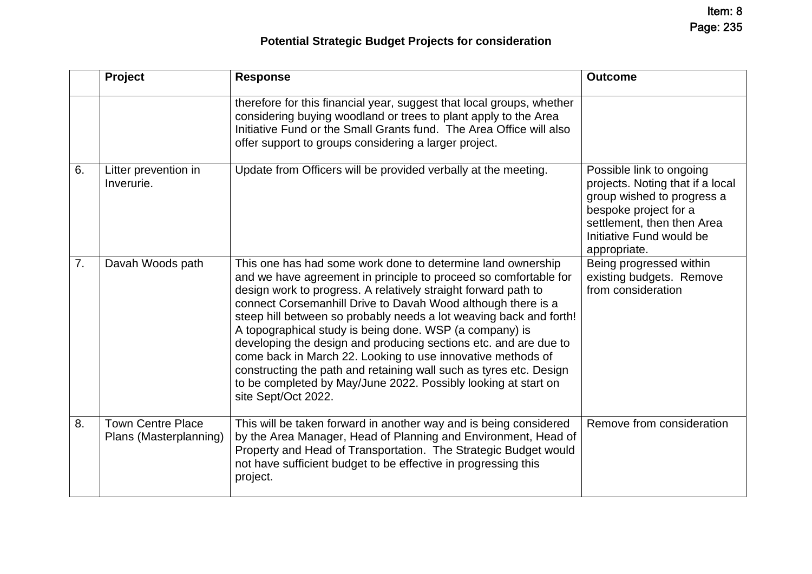# **Potential Strategic Budget Projects for consideration**

|    | Project                                            | <b>Response</b>                                                                                                                                                                                                                                                                                                                                                                                                                                                                                                                                                                                                                                                                                      | <b>Outcome</b>                                                                                                                                                                                |
|----|----------------------------------------------------|------------------------------------------------------------------------------------------------------------------------------------------------------------------------------------------------------------------------------------------------------------------------------------------------------------------------------------------------------------------------------------------------------------------------------------------------------------------------------------------------------------------------------------------------------------------------------------------------------------------------------------------------------------------------------------------------------|-----------------------------------------------------------------------------------------------------------------------------------------------------------------------------------------------|
|    |                                                    | therefore for this financial year, suggest that local groups, whether<br>considering buying woodland or trees to plant apply to the Area<br>Initiative Fund or the Small Grants fund. The Area Office will also<br>offer support to groups considering a larger project.                                                                                                                                                                                                                                                                                                                                                                                                                             |                                                                                                                                                                                               |
| 6. | Litter prevention in<br>Inverurie.                 | Update from Officers will be provided verbally at the meeting.                                                                                                                                                                                                                                                                                                                                                                                                                                                                                                                                                                                                                                       | Possible link to ongoing<br>projects. Noting that if a local<br>group wished to progress a<br>bespoke project for a<br>settlement, then then Area<br>Initiative Fund would be<br>appropriate. |
| 7. | Davah Woods path                                   | This one has had some work done to determine land ownership<br>and we have agreement in principle to proceed so comfortable for<br>design work to progress. A relatively straight forward path to<br>connect Corsemanhill Drive to Davah Wood although there is a<br>steep hill between so probably needs a lot weaving back and forth!<br>A topographical study is being done. WSP (a company) is<br>developing the design and producing sections etc. and are due to<br>come back in March 22. Looking to use innovative methods of<br>constructing the path and retaining wall such as tyres etc. Design<br>to be completed by May/June 2022. Possibly looking at start on<br>site Sept/Oct 2022. | Being progressed within<br>existing budgets. Remove<br>from consideration                                                                                                                     |
| 8. | <b>Town Centre Place</b><br>Plans (Masterplanning) | This will be taken forward in another way and is being considered<br>by the Area Manager, Head of Planning and Environment, Head of<br>Property and Head of Transportation. The Strategic Budget would<br>not have sufficient budget to be effective in progressing this<br>project.                                                                                                                                                                                                                                                                                                                                                                                                                 | Remove from consideration                                                                                                                                                                     |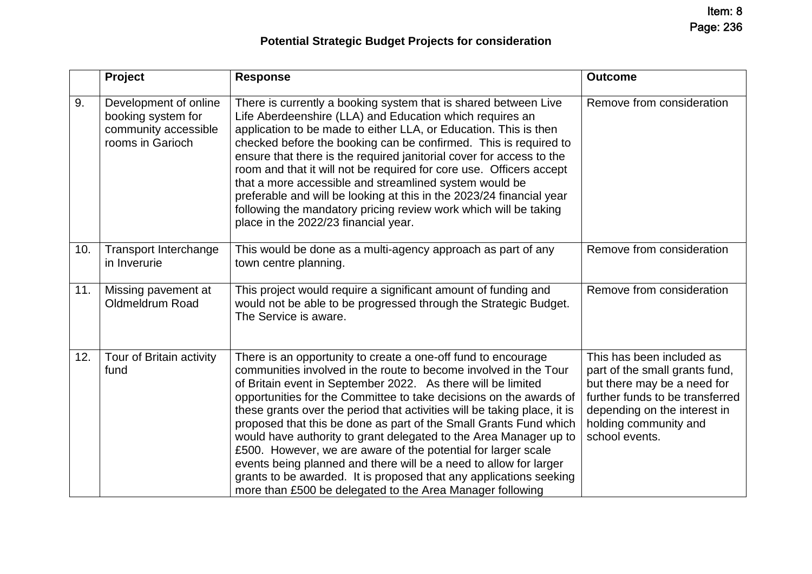|     | Project                                                                                 | <b>Response</b>                                                                                                                                                                                                                                                                                                                                                                                                                                                                                                                                                                                                                                                                                                                                                        | <b>Outcome</b>                                                                                                                                                                                           |
|-----|-----------------------------------------------------------------------------------------|------------------------------------------------------------------------------------------------------------------------------------------------------------------------------------------------------------------------------------------------------------------------------------------------------------------------------------------------------------------------------------------------------------------------------------------------------------------------------------------------------------------------------------------------------------------------------------------------------------------------------------------------------------------------------------------------------------------------------------------------------------------------|----------------------------------------------------------------------------------------------------------------------------------------------------------------------------------------------------------|
| 9.  | Development of online<br>booking system for<br>community accessible<br>rooms in Garioch | There is currently a booking system that is shared between Live<br>Life Aberdeenshire (LLA) and Education which requires an<br>application to be made to either LLA, or Education. This is then<br>checked before the booking can be confirmed. This is required to<br>ensure that there is the required janitorial cover for access to the<br>room and that it will not be required for core use. Officers accept<br>that a more accessible and streamlined system would be<br>preferable and will be looking at this in the 2023/24 financial year<br>following the mandatory pricing review work which will be taking<br>place in the 2022/23 financial year.                                                                                                       | Remove from consideration                                                                                                                                                                                |
| 10. | <b>Transport Interchange</b><br>in Inverurie                                            | This would be done as a multi-agency approach as part of any<br>town centre planning.                                                                                                                                                                                                                                                                                                                                                                                                                                                                                                                                                                                                                                                                                  | Remove from consideration                                                                                                                                                                                |
| 11. | Missing pavement at<br>Oldmeldrum Road                                                  | This project would require a significant amount of funding and<br>would not be able to be progressed through the Strategic Budget.<br>The Service is aware.                                                                                                                                                                                                                                                                                                                                                                                                                                                                                                                                                                                                            | Remove from consideration                                                                                                                                                                                |
| 12. | Tour of Britain activity<br>fund                                                        | There is an opportunity to create a one-off fund to encourage<br>communities involved in the route to become involved in the Tour<br>of Britain event in September 2022. As there will be limited<br>opportunities for the Committee to take decisions on the awards of<br>these grants over the period that activities will be taking place, it is<br>proposed that this be done as part of the Small Grants Fund which<br>would have authority to grant delegated to the Area Manager up to<br>£500. However, we are aware of the potential for larger scale<br>events being planned and there will be a need to allow for larger<br>grants to be awarded. It is proposed that any applications seeking<br>more than £500 be delegated to the Area Manager following | This has been included as<br>part of the small grants fund,<br>but there may be a need for<br>further funds to be transferred<br>depending on the interest in<br>holding community and<br>school events. |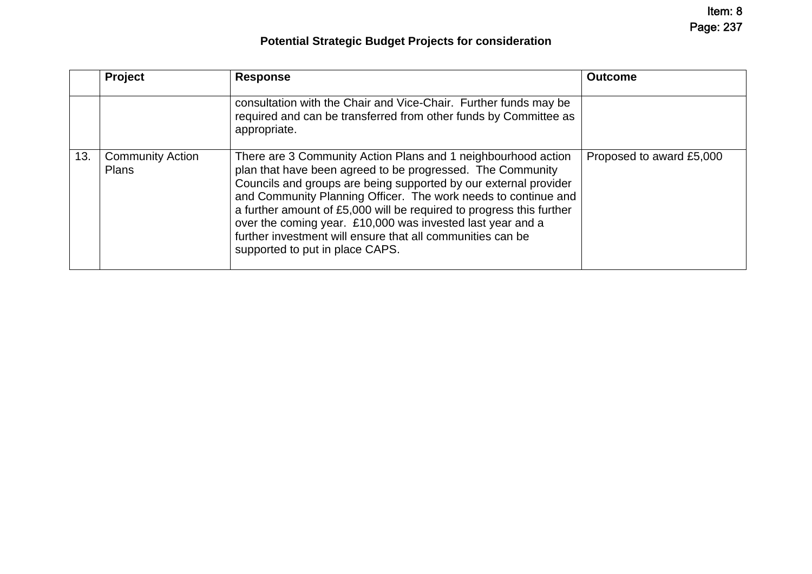Item: 8 Page: 237

# **Potential Strategic Budget Projects for consideration**

|     | Project                                 | <b>Response</b>                                                                                                                                                                                                                                                                                                                                                                                                                                                                                          | <b>Outcome</b>           |
|-----|-----------------------------------------|----------------------------------------------------------------------------------------------------------------------------------------------------------------------------------------------------------------------------------------------------------------------------------------------------------------------------------------------------------------------------------------------------------------------------------------------------------------------------------------------------------|--------------------------|
|     |                                         | consultation with the Chair and Vice-Chair. Further funds may be<br>required and can be transferred from other funds by Committee as<br>appropriate.                                                                                                                                                                                                                                                                                                                                                     |                          |
| 13. | <b>Community Action</b><br><b>Plans</b> | There are 3 Community Action Plans and 1 neighbourhood action<br>plan that have been agreed to be progressed. The Community<br>Councils and groups are being supported by our external provider<br>and Community Planning Officer. The work needs to continue and<br>a further amount of £5,000 will be required to progress this further<br>over the coming year. £10,000 was invested last year and a<br>further investment will ensure that all communities can be<br>supported to put in place CAPS. | Proposed to award £5,000 |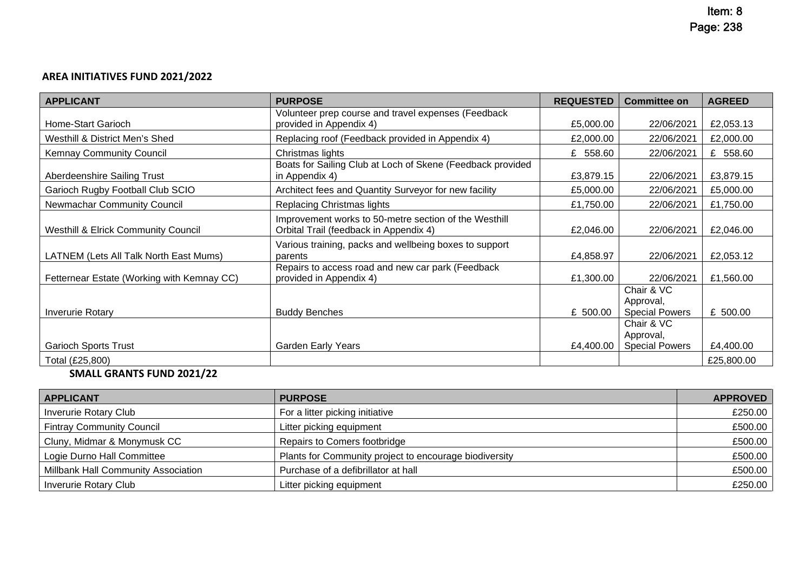## **AREA INITIATIVES FUND 2021/2022**

| <b>APPLICANT</b>                               | <b>PURPOSE</b>                                                                                  | <b>REQUESTED</b> | <b>Committee on</b>                              | <b>AGREED</b> |
|------------------------------------------------|-------------------------------------------------------------------------------------------------|------------------|--------------------------------------------------|---------------|
| Home-Start Garioch                             | Volunteer prep course and travel expenses (Feedback<br>provided in Appendix 4)                  | £5,000.00        | 22/06/2021                                       | £2,053.13     |
| Westhill & District Men's Shed                 | Replacing roof (Feedback provided in Appendix 4)                                                | £2,000.00        | 22/06/2021                                       | £2,000.00     |
| <b>Kemnay Community Council</b>                | Christmas lights                                                                                | £ 558.60         | 22/06/2021                                       | £ 558.60      |
| Aberdeenshire Sailing Trust                    | Boats for Sailing Club at Loch of Skene (Feedback provided<br>in Appendix 4)                    | £3,879.15        | 22/06/2021                                       | £3,879.15     |
| Garioch Rugby Football Club SCIO               | Architect fees and Quantity Surveyor for new facility                                           | £5,000.00        | 22/06/2021                                       | £5,000.00     |
| Newmachar Community Council                    | Replacing Christmas lights                                                                      | £1,750.00        | 22/06/2021                                       | £1,750.00     |
| <b>Westhill &amp; Elrick Community Council</b> | Improvement works to 50-metre section of the Westhill<br>Orbital Trail (feedback in Appendix 4) | £2,046.00        | 22/06/2021                                       | £2,046.00     |
| LATNEM (Lets All Talk North East Mums)         | Various training, packs and wellbeing boxes to support<br>parents                               | £4,858.97        | 22/06/2021                                       | £2,053.12     |
| Fetternear Estate (Working with Kemnay CC)     | Repairs to access road and new car park (Feedback<br>provided in Appendix 4)                    | £1,300.00        | 22/06/2021                                       | £1,560.00     |
| <b>Inverurie Rotary</b>                        | <b>Buddy Benches</b>                                                                            | £ 500.00         | Chair & VC<br>Approval,<br><b>Special Powers</b> | £ 500.00      |
| <b>Garioch Sports Trust</b>                    | <b>Garden Early Years</b>                                                                       | £4,400.00        | Chair & VC<br>Approval,<br><b>Special Powers</b> | £4,400.00     |
| Total (£25,800)                                |                                                                                                 |                  |                                                  | £25,800,00    |

## **SMALL GRANTS FUND 2021/22**

| <b>APPLICANT</b>                    | <b>PURPOSE</b>                                         | <b>APPROVED</b> |
|-------------------------------------|--------------------------------------------------------|-----------------|
| <b>Inverurie Rotary Club</b>        | For a litter picking initiative                        | £250.00         |
| <b>Fintray Community Council</b>    | Litter picking equipment                               | £500.00         |
| Cluny, Midmar & Monymusk CC         | Repairs to Comers footbridge                           | £500.00         |
| Logie Durno Hall Committee          | Plants for Community project to encourage biodiversity | £500.00         |
| Millbank Hall Community Association | Purchase of a defibrillator at hall                    | £500.00         |
| <b>Inverurie Rotary Club</b>        | Litter picking equipment                               | £250.00         |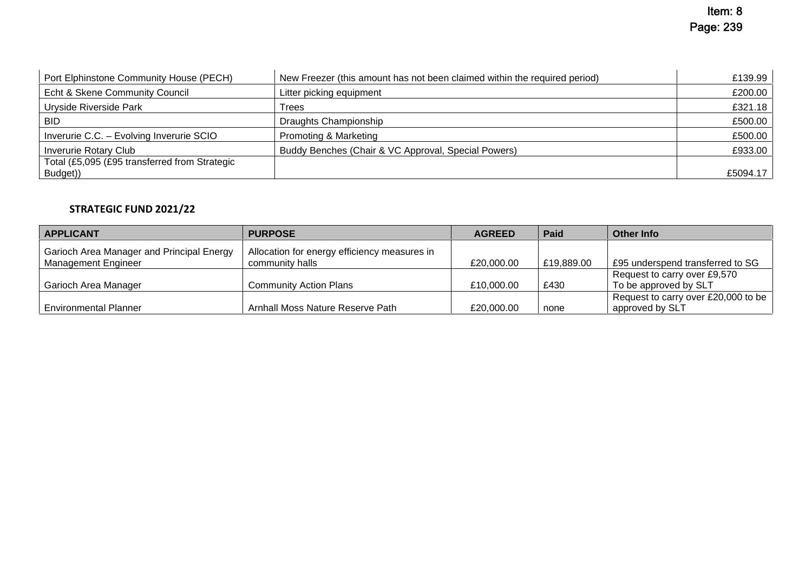| Port Elphinstone Community House (PECH)       | New Freezer (this amount has not been claimed within the required period) | £139.99  |
|-----------------------------------------------|---------------------------------------------------------------------------|----------|
| Echt & Skene Community Council                | Litter picking equipment                                                  | £200.00  |
| Uryside Riverside Park                        | Trees                                                                     | £321.18  |
| BID                                           | Draughts Championship                                                     | £500.00  |
| Inverurie C.C. - Evolving Inverurie SCIO      | Promoting & Marketing                                                     | £500.00  |
| <b>Inverurie Rotary Club</b>                  | Buddy Benches (Chair & VC Approval, Special Powers)                       | £933.00  |
| Total (£5,095 (£95 transferred from Strategic |                                                                           |          |
| Budget))                                      |                                                                           | £5094.17 |

## **STRATEGIC FUND 2021/22**

| <b>APPLICANT</b>                          | <b>PURPOSE</b>                               | <b>AGREED</b> | Paid       | <b>Other Info</b>                   |
|-------------------------------------------|----------------------------------------------|---------------|------------|-------------------------------------|
| Garioch Area Manager and Principal Energy | Allocation for energy efficiency measures in |               |            |                                     |
| Management Engineer                       | community halls                              | £20,000.00    | £19,889.00 | £95 underspend transferred to SG    |
|                                           |                                              |               |            | Request to carry over £9,570        |
| Garioch Area Manager                      | <b>Community Action Plans</b>                | £10,000.00    | £430       | To be approved by SLT               |
|                                           |                                              |               |            | Request to carry over £20,000 to be |
| <b>Environmental Planner</b>              | Arnhall Moss Nature Reserve Path             | £20,000.00    | none       | approved by SLT                     |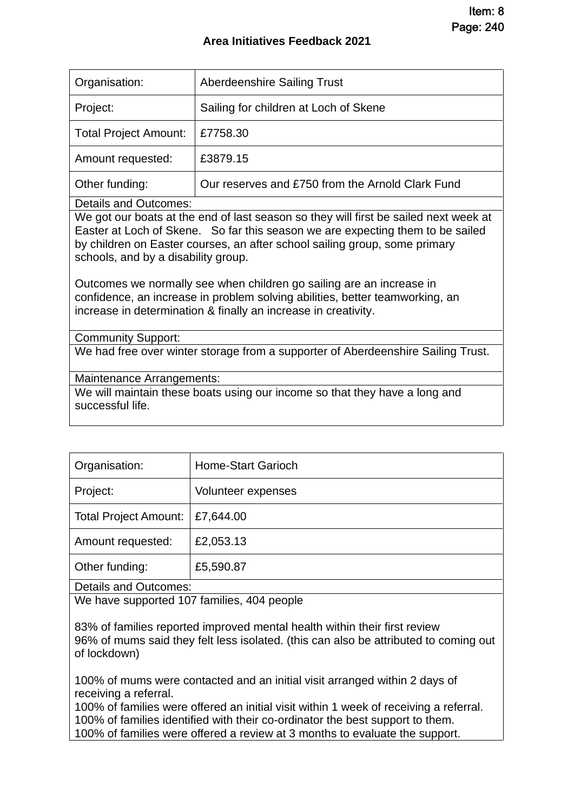| Organisation:                | <b>Aberdeenshire Sailing Trust</b>               |
|------------------------------|--------------------------------------------------|
| Project:                     | Sailing for children at Loch of Skene            |
| <b>Total Project Amount:</b> | £7758.30                                         |
| Amount requested:            | £3879.15                                         |
| Other funding:               | Our reserves and £750 from the Arnold Clark Fund |

Details and Outcomes:

We got our boats at the end of last season so they will first be sailed next week at Easter at Loch of Skene. So far this season we are expecting them to be sailed by children on Easter courses, an after school sailing group, some primary schools, and by a disability group.

Outcomes we normally see when children go sailing are an increase in confidence, an increase in problem solving abilities, better teamworking, an increase in determination & finally an increase in creativity.

Community Support:

We had free over winter storage from a supporter of Aberdeenshire Sailing Trust.

Maintenance Arrangements:

We will maintain these boats using our income so that they have a long and successful life.

| Organisation:                | Home-Start Garioch |  |
|------------------------------|--------------------|--|
| Project:                     | Volunteer expenses |  |
| <b>Total Project Amount:</b> | £7,644.00          |  |
| Amount requested:            | £2,053.13          |  |
| Other funding:               | £5,590.87          |  |
| <b>Details and Outcomes:</b> |                    |  |

We have supported 107 families, 404 people

83% of families reported improved mental health within their first review 96% of mums said they felt less isolated. (this can also be attributed to coming out of lockdown)

100% of mums were contacted and an initial visit arranged within 2 days of receiving a referral.

100% of families were offered an initial visit within 1 week of receiving a referral. 100% of families identified with their co-ordinator the best support to them. 100% of families were offered a review at 3 months to evaluate the support.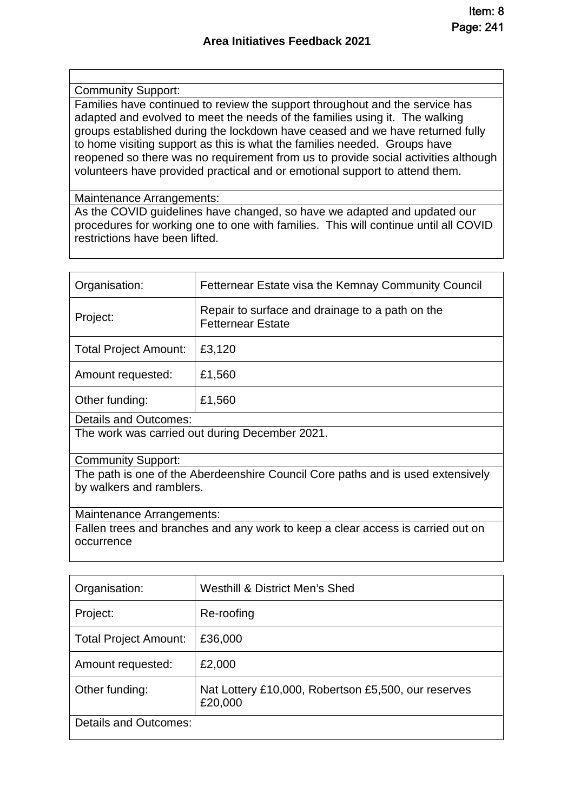#### Community Support:

Families have continued to review the support throughout and the service has adapted and evolved to meet the needs of the families using it. The walking groups established during the lockdown have ceased and we have returned fully to home visiting support as this is what the families needed. Groups have reopened so there was no requirement from us to provide social activities although volunteers have provided practical and or emotional support to attend them.

Maintenance Arrangements:

As the COVID guidelines have changed, so have we adapted and updated our procedures for working one to one with families. This will continue until all COVID restrictions have been lifted.

| Organisation:                                                                                               | Fetternear Estate visa the Kemnay Community Council                         |  |
|-------------------------------------------------------------------------------------------------------------|-----------------------------------------------------------------------------|--|
| Project:                                                                                                    | Repair to surface and drainage to a path on the<br><b>Fetternear Estate</b> |  |
| Total Project Amount:                                                                                       | £3,120                                                                      |  |
| Amount requested:                                                                                           | £1,560                                                                      |  |
| Other funding:                                                                                              | £1,560                                                                      |  |
| Details and Outcomes:                                                                                       |                                                                             |  |
| The work was carried out during December 2021.                                                              |                                                                             |  |
| <b>Community Support:</b>                                                                                   |                                                                             |  |
| The path is one of the Aberdeenshire Council Core paths and is used extensively<br>by walkers and ramblers. |                                                                             |  |
|                                                                                                             |                                                                             |  |
| Maintenance Arrangements:                                                                                   |                                                                             |  |
| Fallen trees and branches and any work to keep a clear access is carried out on                             |                                                                             |  |
| occurrence                                                                                                  |                                                                             |  |

| Organisation:                | Westhill & District Men's Shed                                 |
|------------------------------|----------------------------------------------------------------|
| Project:                     | Re-roofing                                                     |
| <b>Total Project Amount:</b> | £36,000                                                        |
| Amount requested:            | £2,000                                                         |
| Other funding:               | Nat Lottery £10,000, Robertson £5,500, our reserves<br>£20,000 |
| <b>Details and Outcomes:</b> |                                                                |